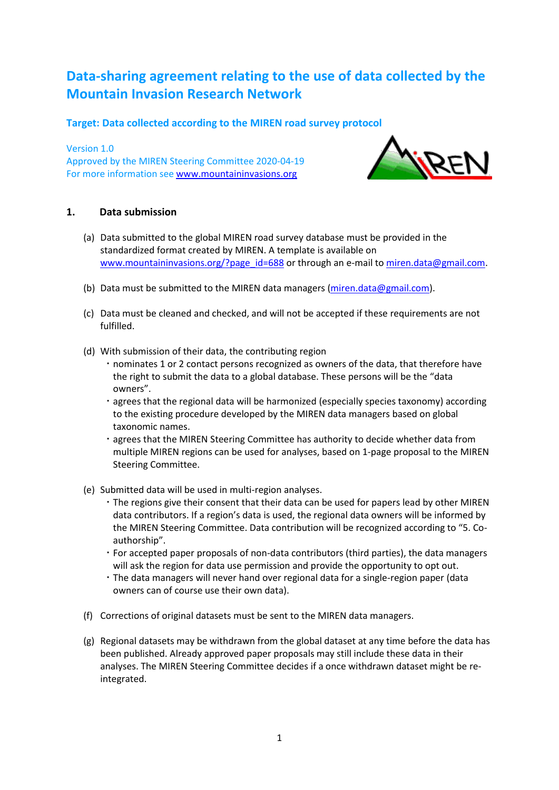# **Data-sharing agreement relating to the use of data collected by the Mountain Invasion Research Network**

# **Target: Data collected according to the MIREN road survey protocol**

Version 1.0 Approved by the MIREN Steering Committee 2020-04-19 For more information see [www.mountaininvasions.org](http://www.mountaininvasions.org/)



# **1. Data submission**

- (a) Data submitted to the global MIREN road survey database must be provided in the standardized format created by MIREN. A template is available on [www.mountaininvasions.org/?page\\_id=688](http://www.mountaininvasions.org/?page_id=688) or through an e-mail to [miren.data@gmail.com.](mailto:miren.data@gmail.com)
- (b) Data must be submitted to the MIREN data managers [\(miren.data@gmail.com\)](mailto:miren.data@gmail.com).
- (c) Data must be cleaned and checked, and will not be accepted if these requirements are not fulfilled.
- (d) With submission of their data, the contributing region
	- nominates 1 or 2 contact persons recognized as owners of the data, that therefore have the right to submit the data to a global database. These persons will be the "data owners".
	- agrees that the regional data will be harmonized (especially species taxonomy) according to the existing procedure developed by the MIREN data managers based on global taxonomic names.
	- agrees that the MIREN Steering Committee has authority to decide whether data from multiple MIREN regions can be used for analyses, based on 1-page proposal to the MIREN Steering Committee.
- (e) Submitted data will be used in multi-region analyses.
	- The regions give their consent that their data can be used for papers lead by other MIREN data contributors. If a region's data is used, the regional data owners will be informed by the MIREN Steering Committee. Data contribution will be recognized according to "5. Coauthorship".
	- For accepted paper proposals of non-data contributors (third parties), the data managers will ask the region for data use permission and provide the opportunity to opt out.
	- The data managers will never hand over regional data for a single-region paper (data owners can of course use their own data).
- (f) Corrections of original datasets must be sent to the MIREN data managers.
- (g) Regional datasets may be withdrawn from the global dataset at any time before the data has been published. Already approved paper proposals may still include these data in their analyses. The MIREN Steering Committee decides if a once withdrawn dataset might be reintegrated.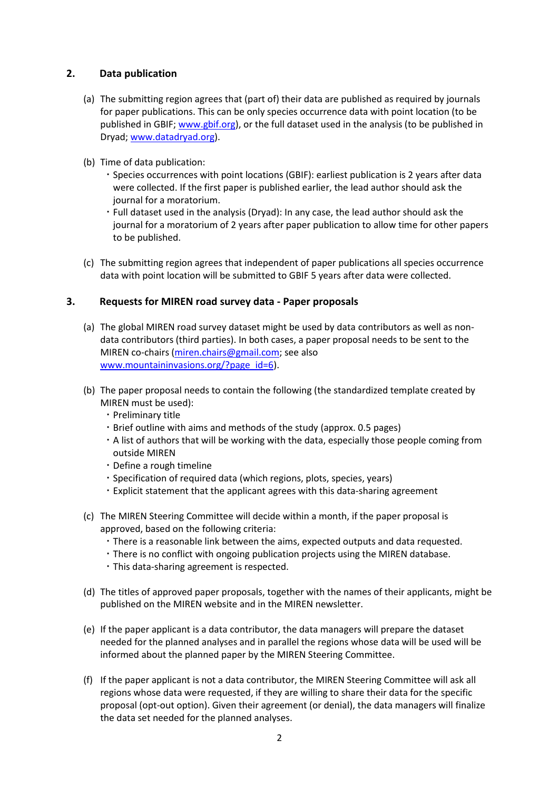# **2. Data publication**

- (a) The submitting region agrees that (part of) their data are published as required by journals for paper publications. This can be only species occurrence data with point location (to be published in GBIF; [www.gbif.org\)](http://www.gbif.org/), or the full dataset used in the analysis (to be published in Dryad; [www.datadryad.org\)](http://www.datadryad.org/).
- (b) Time of data publication:
	- Species occurrences with point locations (GBIF): earliest publication is 2 years after data were collected. If the first paper is published earlier, the lead author should ask the journal for a moratorium.
	- Full dataset used in the analysis (Dryad): In any case, the lead author should ask the journal for a moratorium of 2 years after paper publication to allow time for other papers to be published.
- (c) The submitting region agrees that independent of paper publications all species occurrence data with point location will be submitted to GBIF 5 years after data were collected.

#### **3. Requests for MIREN road survey data - Paper proposals**

- (a) The global MIREN road survey dataset might be used by data contributors as well as nondata contributors (third parties). In both cases, a paper proposal needs to be sent to the MIREN co-chairs [\(miren.chairs@gmail.com;](mailto:miren.chairs@gmail.com) see also [www.mountaininvasions.org/?page\\_id=6\)](http://www.mountaininvasions.org/?page_id=6).
- (b) The paper proposal needs to contain the following (the standardized template created by MIREN must be used):
	- · Preliminary title
	- Brief outline with aims and methods of the study (approx. 0.5 pages)
	- A list of authors that will be working with the data, especially those people coming from outside MIREN
	- Define a rough timeline
	- Specification of required data (which regions, plots, species, years)
	- Explicit statement that the applicant agrees with this data-sharing agreement
- (c) The MIREN Steering Committee will decide within a month, if the paper proposal is approved, based on the following criteria:
	- There is a reasonable link between the aims, expected outputs and data requested.
	- There is no conflict with ongoing publication projects using the MIREN database.
	- This data-sharing agreement is respected.
- (d) The titles of approved paper proposals, together with the names of their applicants, might be published on the MIREN website and in the MIREN newsletter.
- (e) If the paper applicant is a data contributor, the data managers will prepare the dataset needed for the planned analyses and in parallel the regions whose data will be used will be informed about the planned paper by the MIREN Steering Committee.
- (f) If the paper applicant is not a data contributor, the MIREN Steering Committee will ask all regions whose data were requested, if they are willing to share their data for the specific proposal (opt-out option). Given their agreement (or denial), the data managers will finalize the data set needed for the planned analyses.